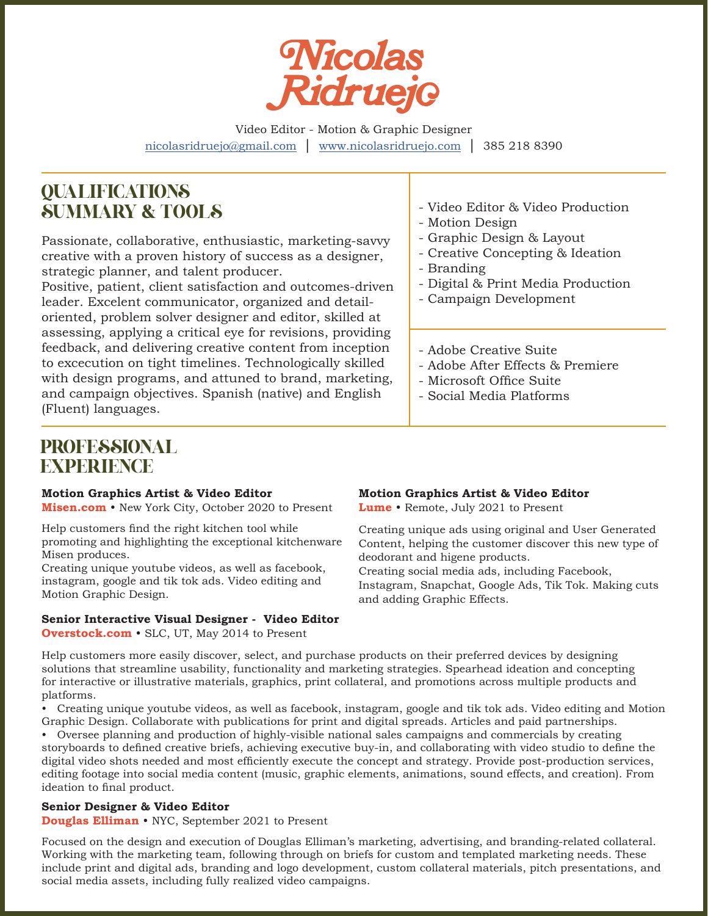

Video Editor - Motion & Graphic Designer nicolasridruejo@gmail.com *|* www.nicolasridruejo.com *|* 385 218 8390

# QUALIFICATIONS SUMMARY & TOOLS

Passionate, collaborative, enthusiastic, marketing-savvy creative with a proven history of success as a designer, strategic planner, and talent producer.

Positive, patient, client satisfaction and outcomes-driven leader. Excelent communicator, organized and detailoriented, problem solver designer and editor, skilled at assessing, applying a critical eye for revisions, providing feedback, and delivering creative content from inception to excecution on tight timelines. Technologically skilled with design programs, and attuned to brand, marketing, and campaign objectives. Spanish (native) and English (Fluent) languages.

- Video Editor & Video Production
- Motion Design
- Graphic Design & Layout
- Creative Concepting & Ideation
- Branding
- Digital & Print Media Production
- Campaign Development
- Adobe Creative Suite
- Adobe After Effects & Premiere
- Microsoft Office Suite
- Social Media Platforms

# PROFESSIONAL EXPERIENCE

#### **Motion Graphics Artist & Video Editor**

**Misen.com** • New York City, October 2020 to Present

Help customers find the right kitchen tool while promoting and highlighting the exceptional kitchenware Misen produces.

Creating unique youtube videos, as well as facebook, instagram, google and tik tok ads. Video editing and Motion Graphic Design.

# **Senior Interactive Visual Designer - Video Editor**

**Overstock.com** • SLC, UT, May 2014 to Present

# **Motion Graphics Artist & Video Editor**

**Lume** • Remote, July 2021 to Present

Creating unique ads using original and User Generated Content, helping the customer discover this new type of deodorant and higene products. Creating social media ads, including Facebook, Instagram, Snapchat, Google Ads, Tik Tok. Making cuts and adding Graphic Effects.

Help customers more easily discover, select, and purchase products on their preferred devices by designing solutions that streamline usability, functionality and marketing strategies. Spearhead ideation and concepting for interactive or illustrative materials, graphics, print collateral, and promotions across multiple products and platforms.

• Creating unique youtube videos, as well as facebook, instagram, google and tik tok ads. Video editing and Motion Graphic Design. Collaborate with publications for print and digital spreads. Articles and paid partnerships.

• Oversee planning and production of highly-visible national sales campaigns and commercials by creating storyboards to defined creative briefs, achieving executive buy-in, and collaborating with video studio to define the digital video shots needed and most efficiently execute the concept and strategy. Provide post-production services, editing footage into social media content (music, graphic elements, animations, sound effects, and creation). From ideation to final product.

# **Senior Designer & Video Editor**

**Douglas Elliman** • NYC, September 2021 to Present

Focused on the design and execution of Douglas Elliman's marketing, advertising, and branding-related collateral. Working with the marketing team, following through on briefs for custom and templated marketing needs. These include print and digital ads, branding and logo development, custom collateral materials, pitch presentations, and social media assets, including fully realized video campaigns.